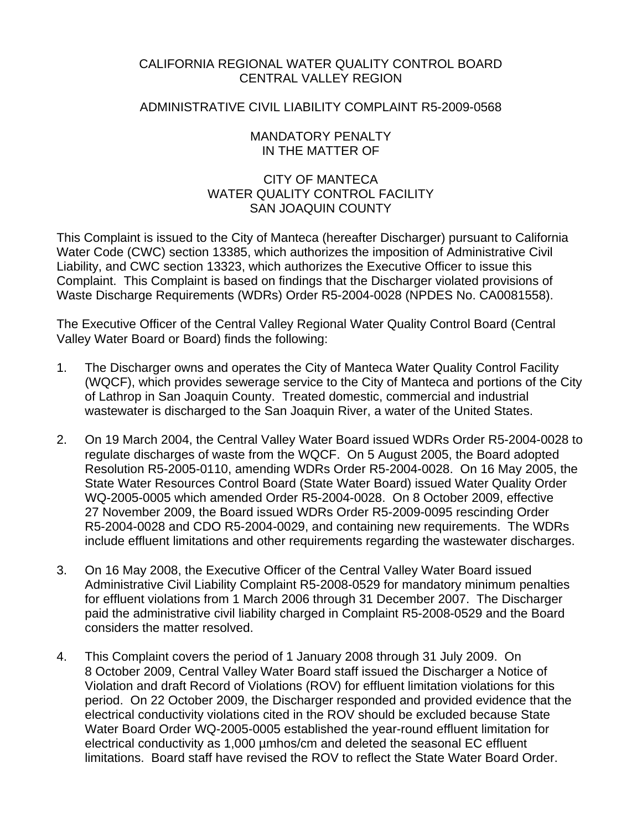## CALIFORNIA REGIONAL WATER QUALITY CONTROL BOARD CENTRAL VALLEY REGION

## ADMINISTRATIVE CIVIL LIABILITY COMPLAINT R5-2009-0568

## MANDATORY PENALTY IN THE MATTER OF

# CITY OF MANTECA WATER QUALITY CONTROL FACILITY SAN JOAQUIN COUNTY

This Complaint is issued to the City of Manteca (hereafter Discharger) pursuant to California Water Code (CWC) section 13385, which authorizes the imposition of Administrative Civil Liability, and CWC section 13323, which authorizes the Executive Officer to issue this Complaint. This Complaint is based on findings that the Discharger violated provisions of Waste Discharge Requirements (WDRs) Order R5-2004-0028 (NPDES No. CA0081558).

The Executive Officer of the Central Valley Regional Water Quality Control Board (Central Valley Water Board or Board) finds the following:

- 1. The Discharger owns and operates the City of Manteca Water Quality Control Facility (WQCF), which provides sewerage service to the City of Manteca and portions of the City of Lathrop in San Joaquin County. Treated domestic, commercial and industrial wastewater is discharged to the San Joaquin River, a water of the United States.
- 2. On 19 March 2004, the Central Valley Water Board issued WDRs Order R5-2004-0028 to regulate discharges of waste from the WQCF. On 5 August 2005, the Board adopted Resolution R5-2005-0110, amending WDRs Order R5-2004-0028. On 16 May 2005, the State Water Resources Control Board (State Water Board) issued Water Quality Order WQ-2005-0005 which amended Order R5-2004-0028. On 8 October 2009, effective 27 November 2009, the Board issued WDRs Order R5-2009-0095 rescinding Order R5-2004-0028 and CDO R5-2004-0029, and containing new requirements. The WDRs include effluent limitations and other requirements regarding the wastewater discharges.
- 3. On 16 May 2008, the Executive Officer of the Central Valley Water Board issued Administrative Civil Liability Complaint R5-2008-0529 for mandatory minimum penalties for effluent violations from 1 March 2006 through 31 December 2007. The Discharger paid the administrative civil liability charged in Complaint R5-2008-0529 and the Board considers the matter resolved.
- 4. This Complaint covers the period of 1 January 2008 through 31 July 2009. On 8 October 2009, Central Valley Water Board staff issued the Discharger a Notice of Violation and draft Record of Violations (ROV) for effluent limitation violations for this period. On 22 October 2009, the Discharger responded and provided evidence that the electrical conductivity violations cited in the ROV should be excluded because State Water Board Order WQ-2005-0005 established the year-round effluent limitation for electrical conductivity as 1,000 µmhos/cm and deleted the seasonal EC effluent limitations. Board staff have revised the ROV to reflect the State Water Board Order.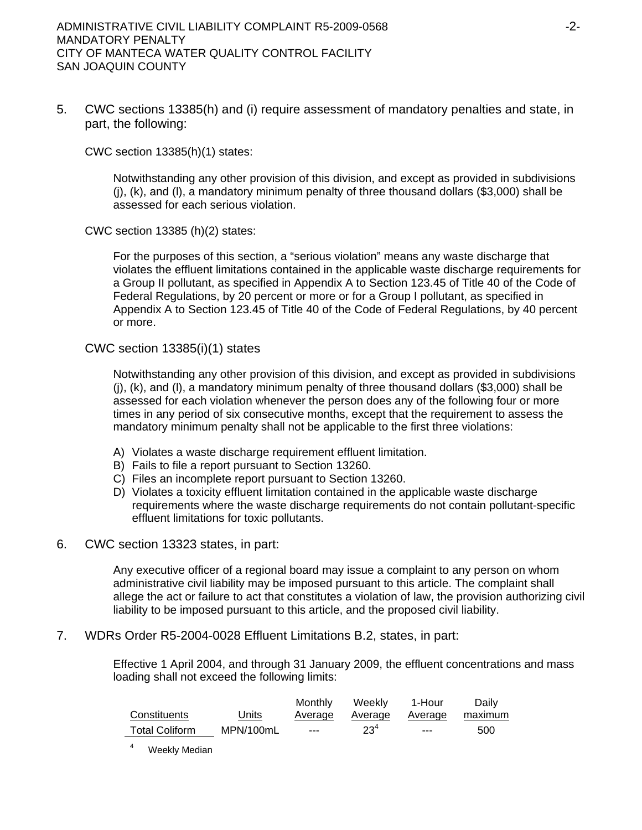5. CWC sections 13385(h) and (i) require assessment of mandatory penalties and state, in part, the following:

CWC section 13385(h)(1) states:

Notwithstanding any other provision of this division, and except as provided in subdivisions  $(i)$ ,  $(k)$ , and  $(l)$ , a mandatory minimum penalty of three thousand dollars (\$3,000) shall be assessed for each serious violation.

CWC section 13385 (h)(2) states:

For the purposes of this section, a "serious violation" means any waste discharge that violates the effluent limitations contained in the applicable waste discharge requirements for a Group II pollutant, as specified in Appendix A to Section 123.45 of Title 40 of the Code of Federal Regulations, by 20 percent or more or for a Group I pollutant, as specified in Appendix A to Section 123.45 of Title 40 of the Code of Federal Regulations, by 40 percent or more.

### CWC section 13385(i)(1) states

Notwithstanding any other provision of this division, and except as provided in subdivisions (j), (k), and (l), a mandatory minimum penalty of three thousand dollars (\$3,000) shall be assessed for each violation whenever the person does any of the following four or more times in any period of six consecutive months, except that the requirement to assess the mandatory minimum penalty shall not be applicable to the first three violations:

- A) Violates a waste discharge requirement effluent limitation.
- B) Fails to file a report pursuant to Section 13260.
- C) Files an incomplete report pursuant to Section 13260.
- D) Violates a toxicity effluent limitation contained in the applicable waste discharge requirements where the waste discharge requirements do not contain pollutant-specific effluent limitations for toxic pollutants.
- 6. CWC section 13323 states, in part:

Any executive officer of a regional board may issue a complaint to any person on whom administrative civil liability may be imposed pursuant to this article. The complaint shall allege the act or failure to act that constitutes a violation of law, the provision authorizing civil liability to be imposed pursuant to this article, and the proposed civil liability.

7. WDRs Order R5-2004-0028 Effluent Limitations B.2, states, in part:

Effective 1 April 2004, and through 31 January 2009, the effluent concentrations and mass loading shall not exceed the following limits:

|                       |           | Monthly | Weeklv   | 1-Hour  | Daily   |
|-----------------------|-----------|---------|----------|---------|---------|
| Constituents          | Units     | Average | Average  | Average | maximum |
| <b>Total Coliform</b> | MPN/100mL | $--$    | $23^{4}$ | $---$   | 500     |

4 Weekly Median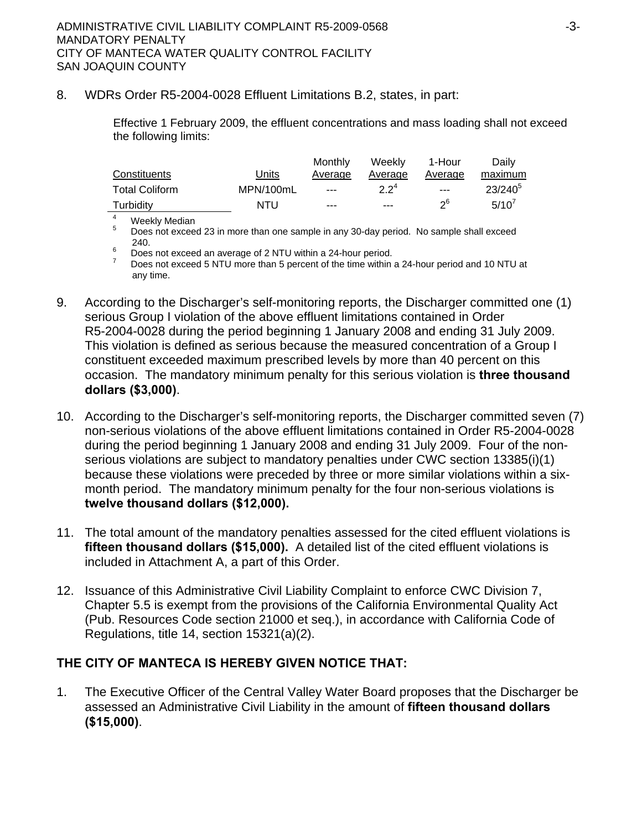## 8. WDRs Order R5-2004-0028 Effluent Limitations B.2, states, in part:

Effective 1 February 2009, the effluent concentrations and mass loading shall not exceed the following limits:

|                       |           | Monthly | Weekly           | 1-Hour  | Daily        |
|-----------------------|-----------|---------|------------------|---------|--------------|
| Constituents          | Units     | Average | Average          | Average | maximum      |
| <b>Total Coliform</b> | MPN/100mL | $- - -$ | 2.2 <sup>4</sup> | $- - -$ | $23/240^{5}$ |
| Turbidity             | NTU       | $- - -$ | $- - -$          | ენ      | 5/10'        |
|                       |           |         |                  |         |              |

4

<sup>4</sup> Weekly Median<br><sup>5</sup> Does not excee 5 Does not exceed 23 in more than one sample in any 30-day period. No sample shall exceed

240.<br>
<sup>6</sup> Does not exceed an average of 2 NTU within a 24-hour period.<br>
<sup>7</sup> Does not exceed 5 NTU more than 5 percent of the time within a 24-hour period and 10 NTU at any time.

- 9. According to the Discharger's self-monitoring reports, the Discharger committed one (1) serious Group I violation of the above effluent limitations contained in Order R5-2004-0028 during the period beginning 1 January 2008 and ending 31 July 2009. This violation is defined as serious because the measured concentration of a Group I constituent exceeded maximum prescribed levels by more than 40 percent on this occasion. The mandatory minimum penalty for this serious violation is **three thousand dollars (\$3,000)**.
- 10. According to the Discharger's self-monitoring reports, the Discharger committed seven (7) non-serious violations of the above effluent limitations contained in Order R5-2004-0028 during the period beginning 1 January 2008 and ending 31 July 2009. Four of the nonserious violations are subject to mandatory penalties under CWC section 13385(i)(1) because these violations were preceded by three or more similar violations within a sixmonth period. The mandatory minimum penalty for the four non-serious violations is **twelve thousand dollars (\$12,000).**
- 11. The total amount of the mandatory penalties assessed for the cited effluent violations is **fifteen thousand dollars (\$15,000).** A detailed list of the cited effluent violations is included in Attachment A, a part of this Order.
- 12. Issuance of this Administrative Civil Liability Complaint to enforce CWC Division 7, Chapter 5.5 is exempt from the provisions of the California Environmental Quality Act (Pub. Resources Code section 21000 et seq.), in accordance with California Code of Regulations, title 14, section 15321(a)(2).

# **THE CITY OF MANTECA IS HEREBY GIVEN NOTICE THAT:**

1. The Executive Officer of the Central Valley Water Board proposes that the Discharger be assessed an Administrative Civil Liability in the amount of **fifteen thousand dollars (\$15,000)**.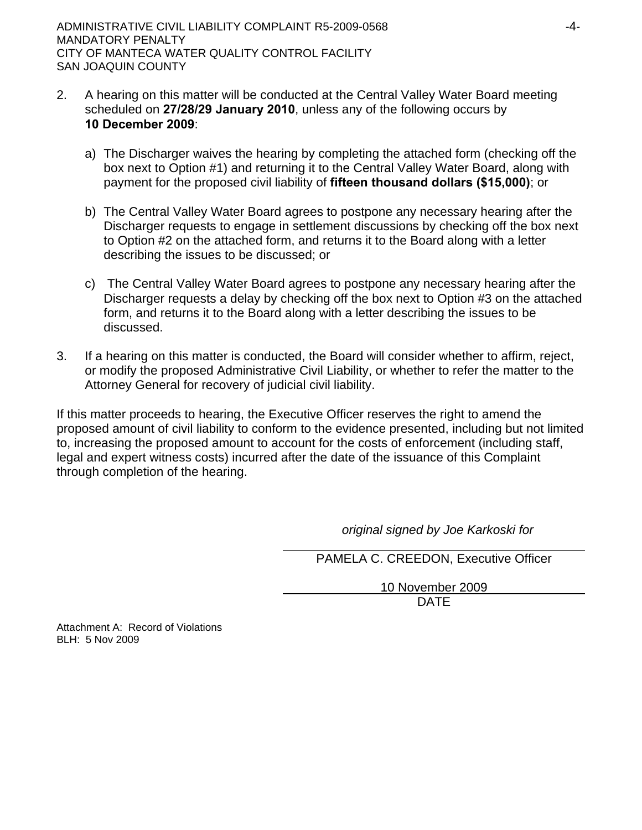- 2. A hearing on this matter will be conducted at the Central Valley Water Board meeting scheduled on **27/28/29 January 2010**, unless any of the following occurs by **10 December 2009**:
	- a) The Discharger waives the hearing by completing the attached form (checking off the box next to Option #1) and returning it to the Central Valley Water Board, along with payment for the proposed civil liability of **fifteen thousand dollars (\$15,000)**; or
	- b) The Central Valley Water Board agrees to postpone any necessary hearing after the Discharger requests to engage in settlement discussions by checking off the box next to Option #2 on the attached form, and returns it to the Board along with a letter describing the issues to be discussed; or
	- c) The Central Valley Water Board agrees to postpone any necessary hearing after the Discharger requests a delay by checking off the box next to Option #3 on the attached form, and returns it to the Board along with a letter describing the issues to be discussed.
- 3. If a hearing on this matter is conducted, the Board will consider whether to affirm, reject, or modify the proposed Administrative Civil Liability, or whether to refer the matter to the Attorney General for recovery of judicial civil liability.

If this matter proceeds to hearing, the Executive Officer reserves the right to amend the proposed amount of civil liability to conform to the evidence presented, including but not limited to, increasing the proposed amount to account for the costs of enforcement (including staff, legal and expert witness costs) incurred after the date of the issuance of this Complaint through completion of the hearing.

*original signed by Joe Karkoski for* 

PAMELA C. CREEDON, Executive Officer

10 November 2009 design and the contract of the contract of the DATE of the contract of the contract of the contract of the contract of the contract of the contract of the contract of the contract of the contract of the contract of the con

Attachment A: Record of Violations BLH: 5 Nov 2009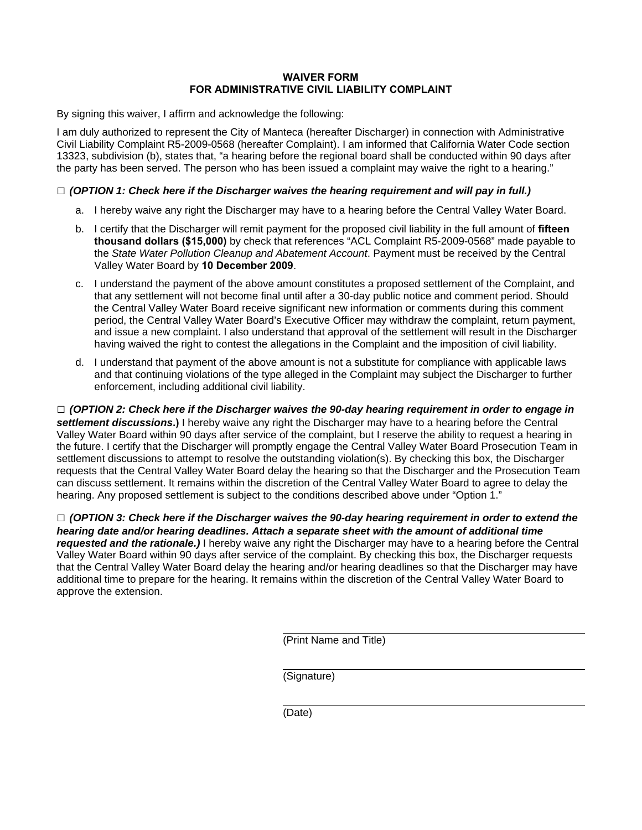### **WAIVER FORM FOR ADMINISTRATIVE CIVIL LIABILITY COMPLAINT**

By signing this waiver, I affirm and acknowledge the following:

I am duly authorized to represent the City of Manteca (hereafter Discharger) in connection with Administrative Civil Liability Complaint R5-2009-0568 (hereafter Complaint). I am informed that California Water Code section 13323, subdivision (b), states that, "a hearing before the regional board shall be conducted within 90 days after the party has been served. The person who has been issued a complaint may waive the right to a hearing."

#### **□** *(OPTION 1: Check here if the Discharger waives the hearing requirement and will pay in full.)*

- a. I hereby waive any right the Discharger may have to a hearing before the Central Valley Water Board.
- b. I certify that the Discharger will remit payment for the proposed civil liability in the full amount of **fifteen thousand dollars (\$15,000)** by check that references "ACL Complaint R5-2009-0568" made payable to the *State Water Pollution Cleanup and Abatement Account*. Payment must be received by the Central Valley Water Board by **10 December 2009**.
- c. I understand the payment of the above amount constitutes a proposed settlement of the Complaint, and that any settlement will not become final until after a 30-day public notice and comment period. Should the Central Valley Water Board receive significant new information or comments during this comment period, the Central Valley Water Board's Executive Officer may withdraw the complaint, return payment, and issue a new complaint. I also understand that approval of the settlement will result in the Discharger having waived the right to contest the allegations in the Complaint and the imposition of civil liability.
- d. I understand that payment of the above amount is not a substitute for compliance with applicable laws and that continuing violations of the type alleged in the Complaint may subject the Discharger to further enforcement, including additional civil liability.

**□** *(OPTION 2: Check here if the Discharger waives the 90-day hearing requirement in order to engage in settlement discussions***.)** I hereby waive any right the Discharger may have to a hearing before the Central Valley Water Board within 90 days after service of the complaint, but I reserve the ability to request a hearing in the future. I certify that the Discharger will promptly engage the Central Valley Water Board Prosecution Team in settlement discussions to attempt to resolve the outstanding violation(s). By checking this box, the Discharger requests that the Central Valley Water Board delay the hearing so that the Discharger and the Prosecution Team can discuss settlement. It remains within the discretion of the Central Valley Water Board to agree to delay the hearing. Any proposed settlement is subject to the conditions described above under "Option 1."

**□** *(OPTION 3: Check here if the Discharger waives the 90-day hearing requirement in order to extend the hearing date and/or hearing deadlines. Attach a separate sheet with the amount of additional time requested and the rationale.)* I hereby waive any right the Discharger may have to a hearing before the Central Valley Water Board within 90 days after service of the complaint. By checking this box, the Discharger requests that the Central Valley Water Board delay the hearing and/or hearing deadlines so that the Discharger may have additional time to prepare for the hearing. It remains within the discretion of the Central Valley Water Board to approve the extension.

(Print Name and Title)

(Signature)

(Date)